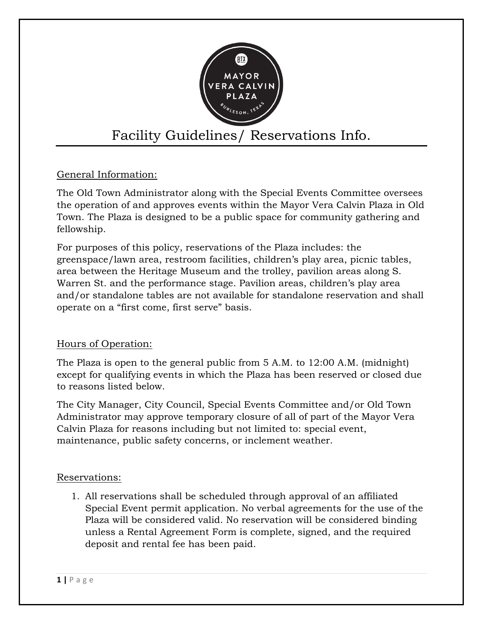

# Facility Guidelines/ Reservations Info.

## General Information:

The Old Town Administrator along with the Special Events Committee oversees the operation of and approves events within the Mayor Vera Calvin Plaza in Old Town. The Plaza is designed to be a public space for community gathering and fellowship.

For purposes of this policy, reservations of the Plaza includes: the greenspace/lawn area, restroom facilities, children's play area, picnic tables, area between the Heritage Museum and the trolley, pavilion areas along S. Warren St. and the performance stage. Pavilion areas, children's play area and/or standalone tables are not available for standalone reservation and shall operate on a "first come, first serve" basis.

## Hours of Operation:

The Plaza is open to the general public from 5 A.M. to 12:00 A.M. (midnight) except for qualifying events in which the Plaza has been reserved or closed due to reasons listed below.

The City Manager, City Council, Special Events Committee and/or Old Town Administrator may approve temporary closure of all of part of the Mayor Vera Calvin Plaza for reasons including but not limited to: special event, maintenance, public safety concerns, or inclement weather.

## Reservations:

1. All reservations shall be scheduled through approval of an affiliated Special Event permit application. No verbal agreements for the use of the Plaza will be considered valid. No reservation will be considered binding unless a Rental Agreement Form is complete, signed, and the required deposit and rental fee has been paid.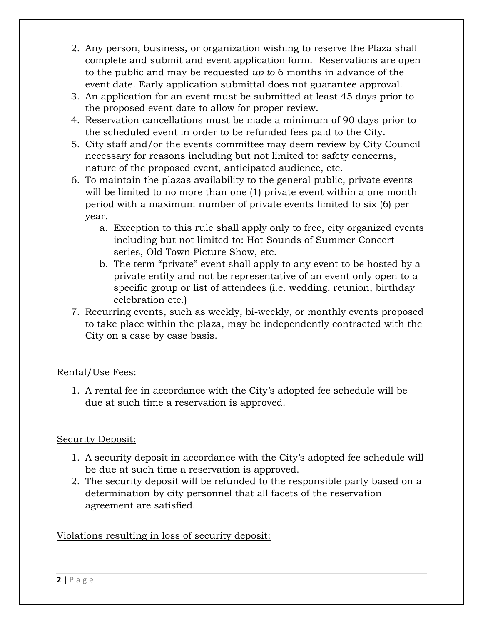- 2. Any person, business, or organization wishing to reserve the Plaza shall complete and submit and event application form. Reservations are open to the public and may be requested *up to* 6 months in advance of the event date. Early application submittal does not guarantee approval.
- 3. An application for an event must be submitted at least 45 days prior to the proposed event date to allow for proper review.
- 4. Reservation cancellations must be made a minimum of 90 days prior to the scheduled event in order to be refunded fees paid to the City.
- 5. City staff and/or the events committee may deem review by City Council necessary for reasons including but not limited to: safety concerns, nature of the proposed event, anticipated audience, etc.
- 6. To maintain the plazas availability to the general public, private events will be limited to no more than one (1) private event within a one month period with a maximum number of private events limited to six (6) per year.
	- a. Exception to this rule shall apply only to free, city organized events including but not limited to: Hot Sounds of Summer Concert series, Old Town Picture Show, etc.
	- b. The term "private" event shall apply to any event to be hosted by a private entity and not be representative of an event only open to a specific group or list of attendees (i.e. wedding, reunion, birthday celebration etc.)
- 7. Recurring events, such as weekly, bi-weekly, or monthly events proposed to take place within the plaza, may be independently contracted with the City on a case by case basis.

## Rental/Use Fees:

1. A rental fee in accordance with the City's adopted fee schedule will be due at such time a reservation is approved.

## Security Deposit:

- 1. A security deposit in accordance with the City's adopted fee schedule will be due at such time a reservation is approved.
- 2. The security deposit will be refunded to the responsible party based on a determination by city personnel that all facets of the reservation agreement are satisfied.

## Violations resulting in loss of security deposit: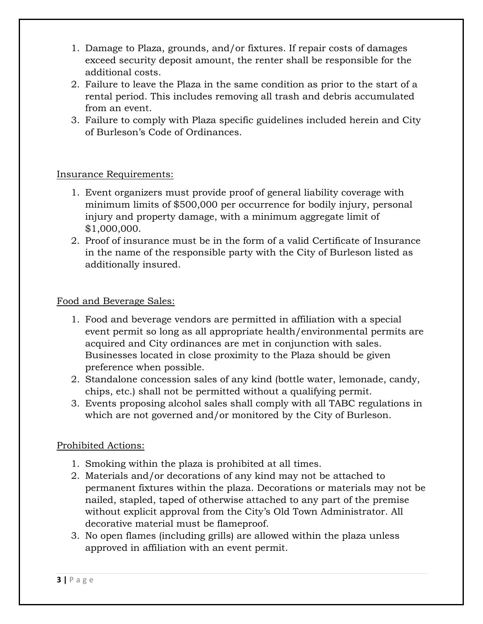- 1. Damage to Plaza, grounds, and/or fixtures. If repair costs of damages exceed security deposit amount, the renter shall be responsible for the additional costs.
- 2. Failure to leave the Plaza in the same condition as prior to the start of a rental period. This includes removing all trash and debris accumulated from an event.
- 3. Failure to comply with Plaza specific guidelines included herein and City of Burleson's Code of Ordinances.

## Insurance Requirements:

- 1. Event organizers must provide proof of general liability coverage with minimum limits of \$500,000 per occurrence for bodily injury, personal injury and property damage, with a minimum aggregate limit of \$1,000,000.
- 2. Proof of insurance must be in the form of a valid Certificate of Insurance in the name of the responsible party with the City of Burleson listed as additionally insured.

## Food and Beverage Sales:

- 1. Food and beverage vendors are permitted in affiliation with a special event permit so long as all appropriate health/environmental permits are acquired and City ordinances are met in conjunction with sales. Businesses located in close proximity to the Plaza should be given preference when possible.
- 2. Standalone concession sales of any kind (bottle water, lemonade, candy, chips, etc.) shall not be permitted without a qualifying permit.
- 3. Events proposing alcohol sales shall comply with all TABC regulations in which are not governed and/or monitored by the City of Burleson.

## Prohibited Actions:

- 1. Smoking within the plaza is prohibited at all times.
- 2. Materials and/or decorations of any kind may not be attached to permanent fixtures within the plaza. Decorations or materials may not be nailed, stapled, taped of otherwise attached to any part of the premise without explicit approval from the City's Old Town Administrator. All decorative material must be flameproof.
- 3. No open flames (including grills) are allowed within the plaza unless approved in affiliation with an event permit.